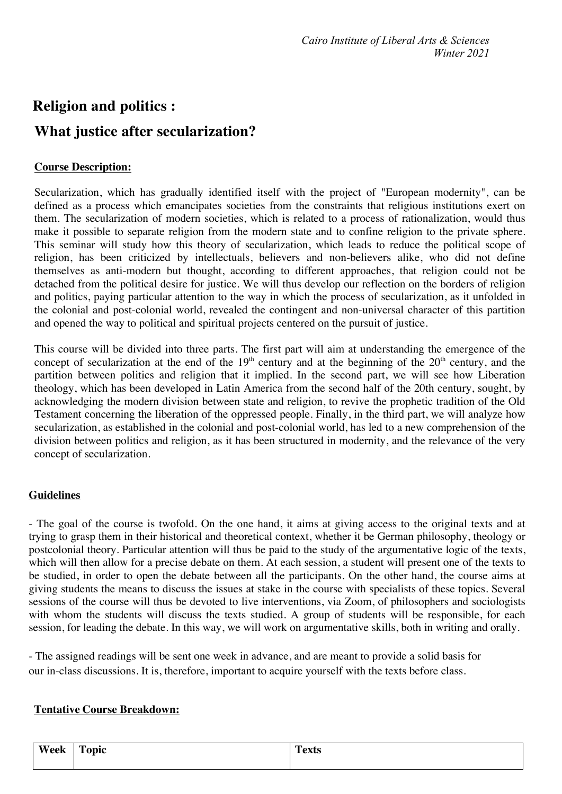## **Religion and politics : What justice after secularization?**

## **Course Description:**

Secularization, which has gradually identified itself with the project of "European modernity", can be defined as a process which emancipates societies from the constraints that religious institutions exert on them. The secularization of modern societies, which is related to a process of rationalization, would thus make it possible to separate religion from the modern state and to confine religion to the private sphere. This seminar will study how this theory of secularization, which leads to reduce the political scope of religion, has been criticized by intellectuals, believers and non-believers alike, who did not define themselves as anti-modern but thought, according to different approaches, that religion could not be detached from the political desire for justice. We will thus develop our reflection on the borders of religion and politics, paying particular attention to the way in which the process of secularization, as it unfolded in the colonial and post-colonial world, revealed the contingent and non-universal character of this partition and opened the way to political and spiritual projects centered on the pursuit of justice.

This course will be divided into three parts. The first part will aim at understanding the emergence of the concept of secularization at the end of the  $19<sup>th</sup>$  century and at the beginning of the  $20<sup>th</sup>$  century, and the partition between politics and religion that it implied. In the second part, we will see how Liberation theology, which has been developed in Latin America from the second half of the 20th century, sought, by acknowledging the modern division between state and religion, to revive the prophetic tradition of the Old Testament concerning the liberation of the oppressed people. Finally, in the third part, we will analyze how secularization, as established in the colonial and post-colonial world, has led to a new comprehension of the division between politics and religion, as it has been structured in modernity, and the relevance of the very concept of secularization.

## **Guidelines**

- The goal of the course is twofold. On the one hand, it aims at giving access to the original texts and at trying to grasp them in their historical and theoretical context, whether it be German philosophy, theology or postcolonial theory. Particular attention will thus be paid to the study of the argumentative logic of the texts, which will then allow for a precise debate on them. At each session, a student will present one of the texts to be studied, in order to open the debate between all the participants. On the other hand, the course aims at giving students the means to discuss the issues at stake in the course with specialists of these topics. Several sessions of the course will thus be devoted to live interventions, via Zoom, of philosophers and sociologists with whom the students will discuss the texts studied. A group of students will be responsible, for each session, for leading the debate. In this way, we will work on argumentative skills, both in writing and orally.

- The assigned readings will be sent one week in advance, and are meant to provide a solid basis for our in-class discussions. It is, therefore, important to acquire yourself with the texts before class.

## **Tentative Course Breakdown:**

| <b>TX7</b><br>۷۵۵۲<br>CCK | m<br>$\sim$ $\sim$ $\sim$<br>μιτ<br>-<br>- | $\sim$<br>$-22$<br><b>L CALD</b> |
|---------------------------|--------------------------------------------|----------------------------------|
|                           |                                            |                                  |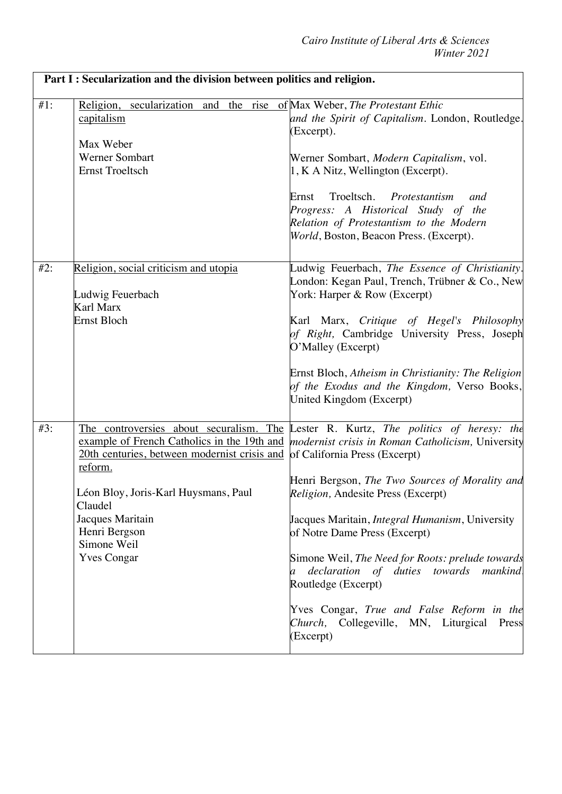|        | Part I : Secularization and the division between politics and religion.                                                                                                                                            |                                                                                                                                                                                                                                                                                                                                                                                                                                                                                                                                                                                                                                     |  |
|--------|--------------------------------------------------------------------------------------------------------------------------------------------------------------------------------------------------------------------|-------------------------------------------------------------------------------------------------------------------------------------------------------------------------------------------------------------------------------------------------------------------------------------------------------------------------------------------------------------------------------------------------------------------------------------------------------------------------------------------------------------------------------------------------------------------------------------------------------------------------------------|--|
| $#1$ : | secularization and the rise of Max Weber, The Protestant Ethic<br>Religion,<br>capitalism<br>Max Weber<br>Werner Sombart<br><b>Ernst Troeltsch</b>                                                                 | and the Spirit of Capitalism. London, Routledge.<br>(Excerpt).<br>Werner Sombart, Modern Capitalism, vol.<br>1, K A Nitz, Wellington (Excerpt).<br>Troeltsch.<br>Protestantism<br>Ernst<br>and<br>Progress: A Historical Study of the<br>Relation of Protestantism to the Modern<br>World, Boston, Beacon Press. (Excerpt).                                                                                                                                                                                                                                                                                                         |  |
| #2:    | Religion, social criticism and utopia<br>Ludwig Feuerbach<br>Karl Marx<br><b>Ernst Bloch</b>                                                                                                                       | Ludwig Feuerbach, The Essence of Christianity.<br>London: Kegan Paul, Trench, Trübner & Co., New<br>York: Harper & Row (Excerpt)<br>Karl Marx, Critique of Hegel's Philosophy<br>of Right, Cambridge University Press, Joseph<br>O'Malley (Excerpt)<br>Ernst Bloch, Atheism in Christianity: The Religion<br>of the Exodus and the Kingdom, Verso Books,<br>United Kingdom (Excerpt)                                                                                                                                                                                                                                                |  |
| #3:    | 20th centuries, between modernist crisis and of California Press (Excerpt)<br>reform.<br>Léon Bloy, Joris-Karl Huysmans, Paul<br>Claudel<br>Jacques Maritain<br>Henri Bergson<br>Simone Weil<br><b>Yves Congar</b> | The controversies about securalism. The Lester R. Kurtz, The politics of heresy: the<br>example of French Catholics in the 19th and <i>modernist crisis in Roman Catholicism</i> , University<br>Henri Bergson, The Two Sources of Morality and<br>Religion, Andesite Press (Excerpt)<br>Jacques Maritain, <i>Integral Humanism</i> , University<br>of Notre Dame Press (Excerpt)<br>Simone Weil, The Need for Roots: prelude towards<br>declaration of duties towards mankind,<br>$\overline{a}$<br>Routledge (Excerpt)<br>Yves Congar, True and False Reform in the<br>Church, Collegeville, MN, Liturgical<br>Press<br>(Excerpt) |  |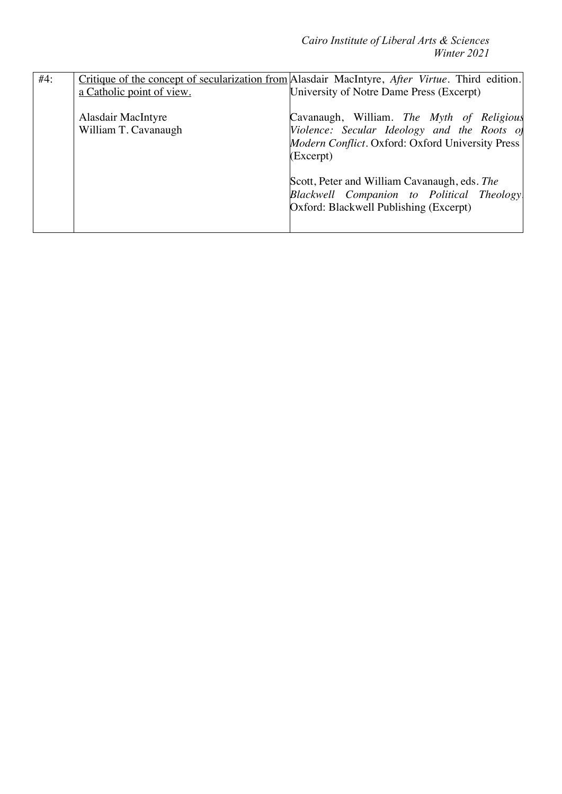*Cairo Institute of Liberal Arts & Sciences Winter 2021*

| #4: |                           | Critique of the concept of secularization from Alasdair MacIntyre, After Virtue. Third edition. |
|-----|---------------------------|-------------------------------------------------------------------------------------------------|
|     | a Catholic point of view. | University of Notre Dame Press (Excerpt)                                                        |
|     |                           |                                                                                                 |
|     | <b>Alasdair MacIntyre</b> | Cavanaugh, William. The Myth of Religious                                                       |
|     | William T. Cavanaugh      | Violence: Secular Ideology and the Roots of                                                     |
|     |                           | Modern Conflict. Oxford: Oxford University Press                                                |
|     |                           | (Excerpt)                                                                                       |
|     |                           | Scott, Peter and William Cavanaugh, eds. The<br>Blackwell Companion to Political Theology       |
|     |                           | Oxford: Blackwell Publishing (Excerpt)                                                          |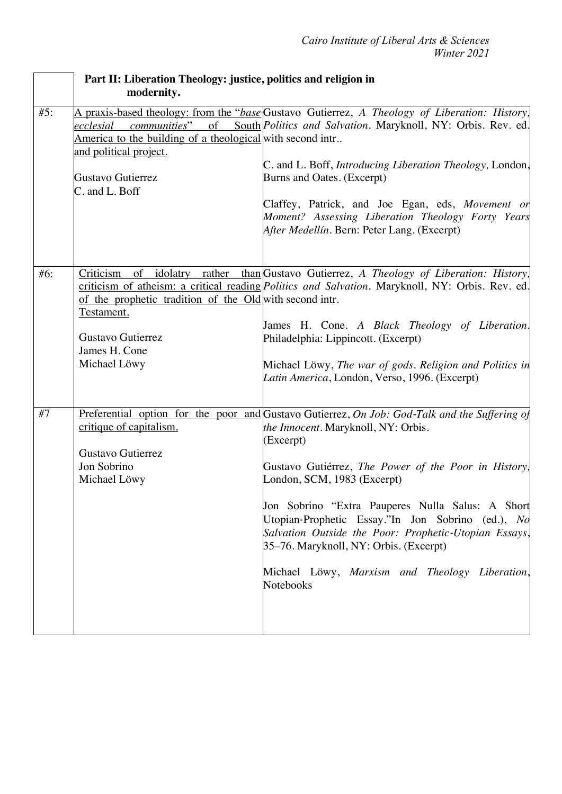|     | Part II: Liberation Theology: justice, politics and religion in<br>modernity.                                                                                   |                                                                                                                                                                                                                                                                                                                                                                                                                                                                                                                            |
|-----|-----------------------------------------------------------------------------------------------------------------------------------------------------------------|----------------------------------------------------------------------------------------------------------------------------------------------------------------------------------------------------------------------------------------------------------------------------------------------------------------------------------------------------------------------------------------------------------------------------------------------------------------------------------------------------------------------------|
| #5: | ecclesial<br><i>communities</i> "<br>America to the building of a theological with second intr<br>and political project.<br>Gustavo Gutierrez<br>C. and L. Boff | A praxis-based theology: from the "base Gustavo Gutierrez, A Theology of Liberation: History,<br>of South <i>Politics and Salvation</i> . Maryknoll, NY: Orbis. Rev. ed.<br>C. and L. Boff, Introducing Liberation Theology, London,<br>Burns and Oates. (Excerpt)<br>Claffey, Patrick, and Joe Egan, eds, Movement or<br>Moment? Assessing Liberation Theology Forty Years<br>After Medellín. Bern: Peter Lang. (Excerpt)                                                                                                 |
| #6: | Criticism of<br>of the prophetic tradition of the Old with second intr.<br>Testament.<br>Gustavo Gutierrez<br>James H. Cone<br>Michael Löwy                     | idolatry rather than Gustavo Gutierrez, A Theology of Liberation: History,<br>criticism of atheism: a critical reading <i>Politics and Salvation</i> . Maryknoll, NY: Orbis. Rev. ed.<br>James H. Cone. A Black Theology of Liberation.<br>Philadelphia: Lippincott. (Excerpt)<br>Michael Löwy, The war of gods. Religion and Politics in<br>Latin America, London, Verso, 1996. (Excerpt)                                                                                                                                 |
| #7  | critique of capitalism.<br>Gustavo Gutierrez<br>Jon Sobrino<br>Michael Löwy                                                                                     | <b>Preferential option for the poor and Gustavo Gutierrez, On Job: God-Talk and the Suffering of</b><br>the Innocent. Maryknoll, NY: Orbis.<br>(Excerpt)<br>Gustavo Gutiérrez, The Power of the Poor in History,<br>London, SCM, 1983 (Excerpt)<br>Jon Sobrino "Extra Pauperes Nulla Salus: A Short<br>Utopian-Prophetic Essay."In Jon Sobrino (ed.), No<br>Salvation Outside the Poor: Prophetic-Utopian Essays,<br>35–76. Maryknoll, NY: Orbis. (Excerpt)<br>Michael Löwy, Marxism and Theology Liberation,<br>Notebooks |

 **Part II: Liberation Theology: justice, politics and religion in**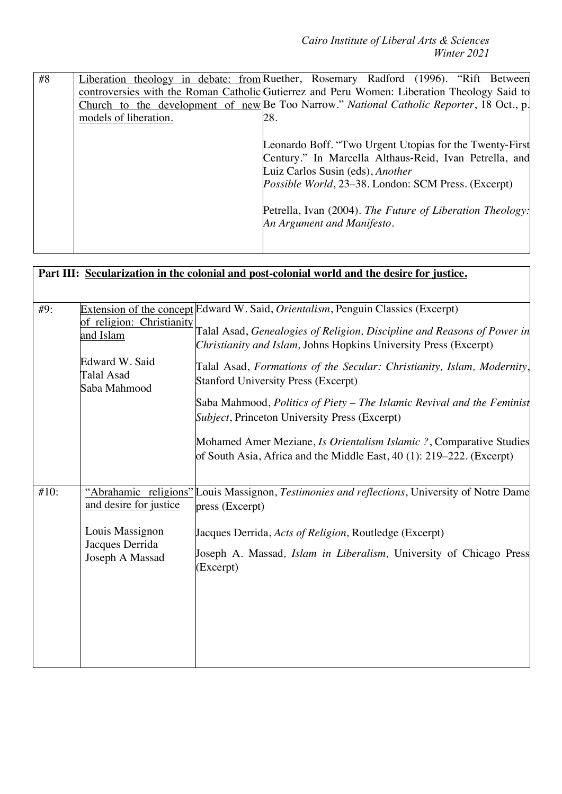| #8 | Liberation theology in debate: from Ruether, Rosemary Radford (1996). "Rift Between         |
|----|---------------------------------------------------------------------------------------------|
|    | controversies with the Roman Catholic Gutierrez and Peru Women: Liberation Theology Said to |
|    | Church to the development of new Be Too Narrow." National Catholic Reporter, 18 Oct., p.    |
|    | models of liberation.<br>28.                                                                |
|    |                                                                                             |
|    | Leonardo Boff. "Two Urgent Utopias for the Twenty-First                                     |
|    | Century." In Marcella Althaus-Reid, Ivan Petrella, and                                      |
|    | Luiz Carlos Susin (eds), Another                                                            |
|    | <i>Possible World</i> , 23–38. London: SCM Press. (Excerpt)                                 |
|    |                                                                                             |
|    | Petrella, Ivan (2004). The Future of Liberation Theology:                                   |
|    | An Argument and Manifesto.                                                                  |
|    |                                                                                             |
|    |                                                                                             |

| Part III: Secularization in the colonial and post-colonial world and the desire for justice. |                                              |                                                                                                                                              |
|----------------------------------------------------------------------------------------------|----------------------------------------------|----------------------------------------------------------------------------------------------------------------------------------------------|
|                                                                                              |                                              |                                                                                                                                              |
| #9:                                                                                          |                                              | Extension of the concept Edward W. Said, Orientalism, Penguin Classics (Excerpt)                                                             |
|                                                                                              | of religion: Christianity<br>and Islam       | Talal Asad, Genealogies of Religion, Discipline and Reasons of Power in<br>Christianity and Islam, Johns Hopkins University Press (Excerpt)  |
|                                                                                              | Edward W. Said<br>Talal Asad<br>Saba Mahmood | Talal Asad, Formations of the Secular: Christianity, Islam, Modernity,<br><b>Stanford University Press (Excerpt)</b>                         |
|                                                                                              |                                              | Saba Mahmood, Politics of Piety – The Islamic Revival and the Feminist<br>Subject, Princeton University Press (Excerpt)                      |
|                                                                                              |                                              | Mohamed Amer Meziane, Is Orientalism Islamic ?, Comparative Studies<br>of South Asia, Africa and the Middle East, 40 (1): 219–222. (Excerpt) |
| #10:                                                                                         | and desire for justice                       | "Abrahamic religions" Louis Massignon, Testimonies and reflections, University of Notre Dame<br>press (Excerpt)                              |
|                                                                                              | Louis Massignon                              | Jacques Derrida, Acts of Religion, Routledge (Excerpt)                                                                                       |
|                                                                                              | Jacques Derrida<br>Joseph A Massad           | Joseph A. Massad, <i>Islam in Liberalism</i> , University of Chicago Press<br>(Excerpt)                                                      |
|                                                                                              |                                              |                                                                                                                                              |
|                                                                                              |                                              |                                                                                                                                              |
|                                                                                              |                                              |                                                                                                                                              |